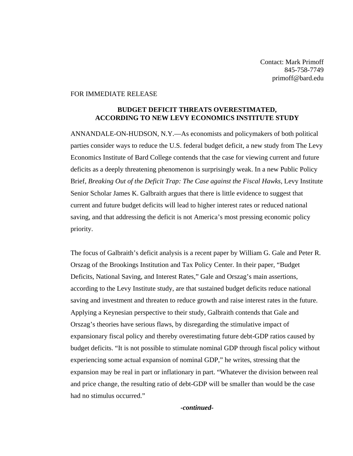Contact: Mark Primoff 845-758-7749 primoff@bard.edu

## FOR IMMEDIATE RELEASE

## **BUDGET DEFICIT THREATS OVERESTIMATED, ACCORDING TO NEW LEVY ECONOMICS INSTITUTE STUDY**

ANNANDALE-ON-HUDSON, N.Y.—As economists and policymakers of both political parties consider ways to reduce the U.S. federal budget deficit, a new study from The Levy Economics Institute of Bard College contends that the case for viewing current and future deficits as a deeply threatening phenomenon is surprisingly weak. In a new Public Policy Brief, *Breaking Out of the Deficit Trap: The Case against the Fiscal Hawks*, Levy Institute Senior Scholar James K. Galbraith argues that there is little evidence to suggest that current and future budget deficits will lead to higher interest rates or reduced national saving, and that addressing the deficit is not America's most pressing economic policy priority.

The focus of Galbraith's deficit analysis is a recent paper by William G. Gale and Peter R. Orszag of the Brookings Institution and Tax Policy Center. In their paper, "Budget Deficits, National Saving, and Interest Rates," Gale and Orszag's main assertions, according to the Levy Institute study, are that sustained budget deficits reduce national saving and investment and threaten to reduce growth and raise interest rates in the future. Applying a Keynesian perspective to their study, Galbraith contends that Gale and Orszag's theories have serious flaws, by disregarding the stimulative impact of expansionary fiscal policy and thereby overestimating future debt-GDP ratios caused by budget deficits. "It is not possible to stimulate nominal GDP through fiscal policy without experiencing some actual expansion of nominal GDP," he writes, stressing that the expansion may be real in part or inflationary in part. "Whatever the division between real and price change, the resulting ratio of debt-GDP will be smaller than would be the case had no stimulus occurred."

*-continued-*